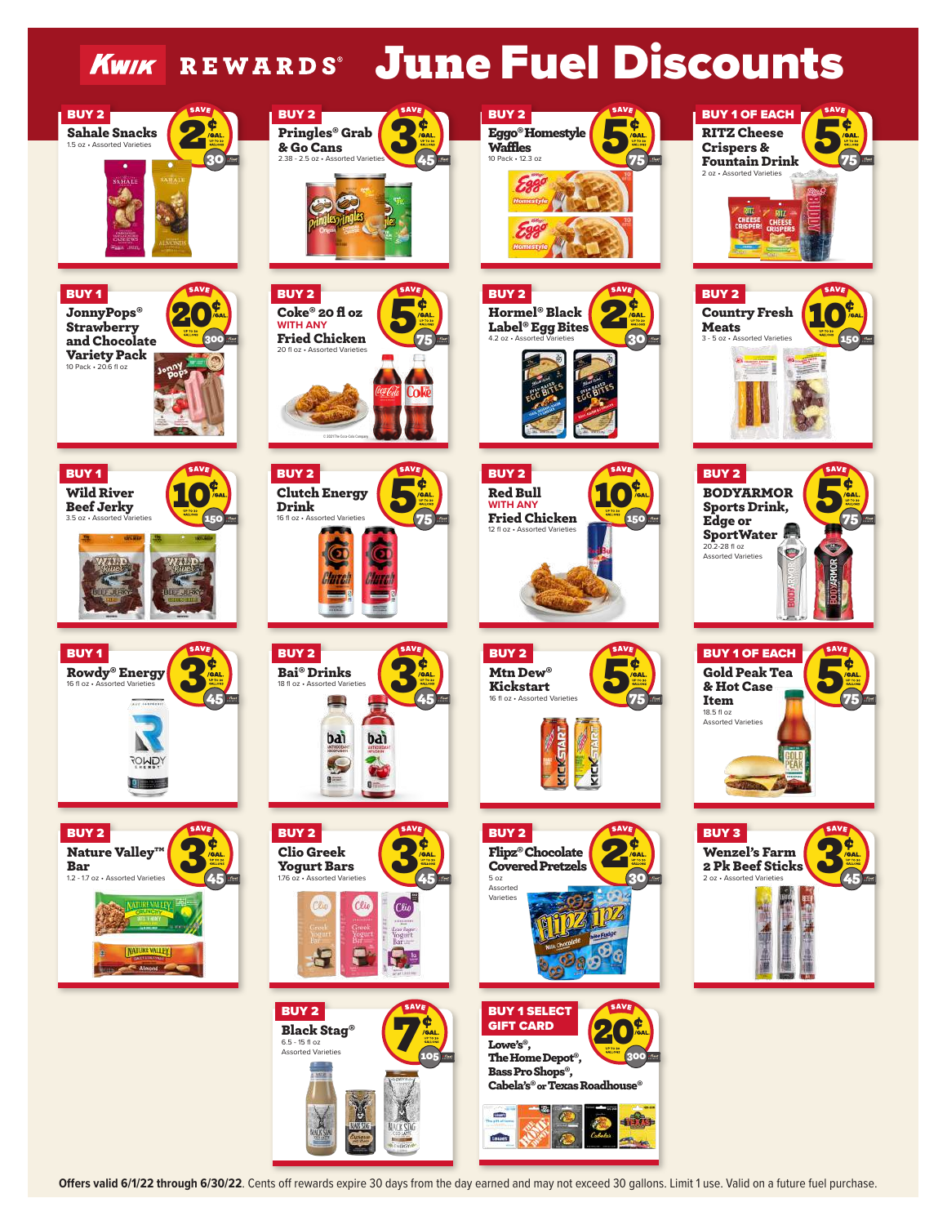



**Offers valid 6/1/22 through 6/30/22**. Cents off rewards expire 30 days from the day earned and may not exceed 30 gallons. Limit 1 use. Valid on a future fuel purchase.